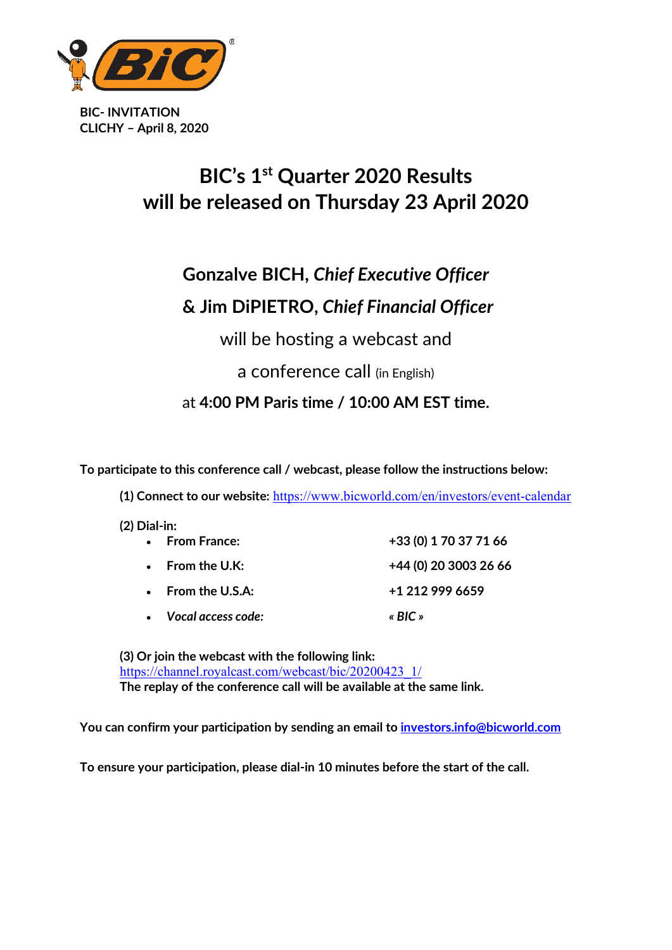

**BIC- INVITATION CLICHY – April 8, 2020**

## **BIC's 1st Quarter 2020 Results will be released on Thursday 23 April 2020**

# **Gonzalve BICH,** *Chief Executive Officer*

## **& Jim DiPIETRO,** *Chief Financial Officer*

will be hosting a webcast and

### a conference call (in English)

at **4:00 PM Paris time / 10:00 AM EST time.**

**To participate to this conference call / webcast, please follow the instructions below:** 

**(1) Connect to our website:** <https://www.bicworld.com/en/investors/event-calendar>

| $(2)$ Dial-in: |
|----------------|
|                |

| • From France:            | +33 (0) 1 70 37 71 66 |
|---------------------------|-----------------------|
| $\bullet$ From the U.K:   | +44 (0) 20 3003 26 66 |
| $\bullet$ From the U.S.A: | +1 212 999 6659       |
| • Vocal access code:      | « $BIC$ »             |

**(3) Or join the webcast with the following link:**  [https://channel.royalcast.com/webcast/bic/20200423\\_1/](https://eur01.safelinks.protection.outlook.com/?url=https%3A%2F%2Fchannel.royalcast.com%2Fwebcast%2Fbic%2F20200423_1%2F&data=02%7C01%7CFlorence.Hocdee-leroy%40bicworld.com%7Cc230694733bb4713f9bc08d7ccab5213%7Cc7901014556049efa6893c215c6092ee%7C0%7C0%7C637202908513742695&sdata=4k3yLdSx2KgHQJ5V2TnEmOEN2v43w9CBi8xTqvjxu5Q%3D&reserved=0) **The replay of the conference call will be available at the same link.**

**You can confirm your participation by sending an email to [investors.info@bicworld.com](mailto:investors.info@bicworld.com)**

**To ensure your participation, please dial-in 10 minutes before the start of the call.**